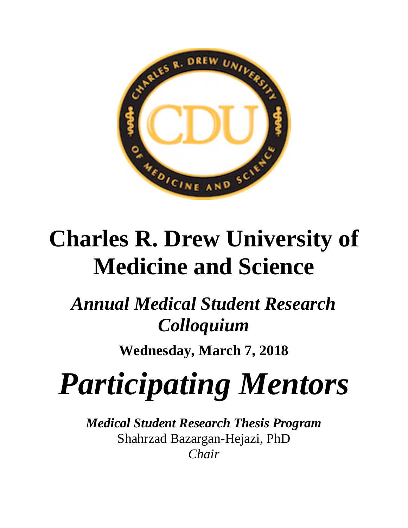

## **Charles R. Drew University of Medicine and Science**

## *Annual Medical Student Research Colloquium*

**Wednesday, March 7, 2018**

# *Participating Mentors*

*Medical Student Research Thesis Program* Shahrzad Bazargan-Hejazi, PhD *Chair*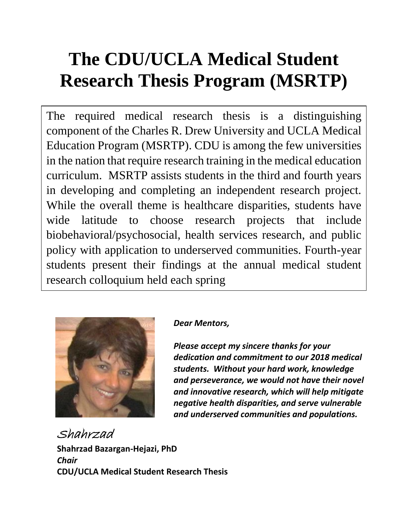## **The CDU/UCLA Medical Student Research Thesis Program (MSRTP)**

The required medical research thesis is a distinguishing component of the Charles R. Drew University and UCLA Medical Education Program (MSRTP). CDU is among the few universities in the nation that require research training in the medical education curriculum. MSRTP assists students in the third and fourth years in developing and completing an independent research project. While the overall theme is healthcare disparities, students have wide latitude to choose research projects that include biobehavioral/psychosocial, health services research, and public policy with application to underserved communities. Fourth-year students present their findings at the annual medical student research colloquium held each spring



#### *Dear Mentors,*

*Please accept my sincere thanks for your dedication and commitment to our 2018 medical students. Without your hard work, knowledge and perseverance, we would not have their novel and innovative research, which will help mitigate negative health disparities, and serve vulnerable and underserved communities and populations.*

Shahrzad **Shahrzad Bazargan-Hejazi, PhD** *Chair* **CDU/UCLA Medical Student Research Thesis**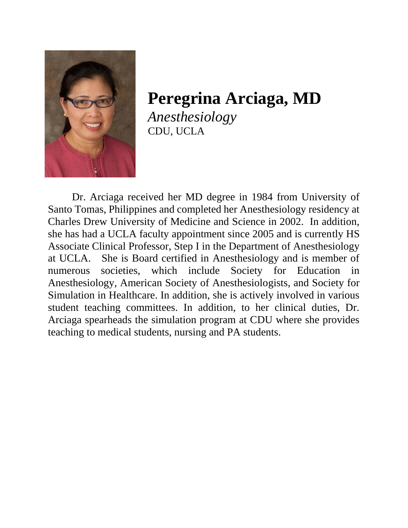

**Peregrina Arciaga, MD** *Anesthesiology* CDU, UCLA

Dr. Arciaga received her MD degree in 1984 from University of Santo Tomas, Philippines and completed her Anesthesiology residency at Charles Drew University of Medicine and Science in 2002. In addition, she has had a UCLA faculty appointment since 2005 and is currently HS Associate Clinical Professor, Step I in the Department of Anesthesiology at UCLA. She is Board certified in Anesthesiology and is member of numerous societies, which include Society for Education in Anesthesiology, American Society of Anesthesiologists, and Society for Simulation in Healthcare. In addition, she is actively involved in various student teaching committees. In addition, to her clinical duties, Dr. Arciaga spearheads the simulation program at CDU where she provides teaching to medical students, nursing and PA students.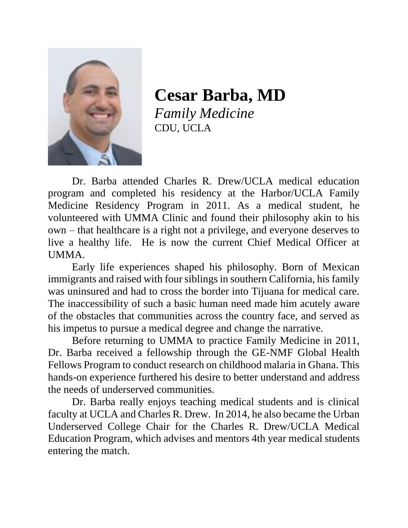

**Cesar Barba, MD** *Family Medicine* CDU, UCLA

Dr. Barba attended Charles R. Drew/UCLA medical education program and completed his residency at the Harbor/UCLA Family Medicine Residency Program in 2011. As a medical student, he volunteered with UMMA Clinic and found their philosophy akin to his own – that healthcare is a right not a privilege, and everyone deserves to live a healthy life. He is now the current Chief Medical Officer at UMMA.

Early life experiences shaped his philosophy. Born of Mexican immigrants and raised with four siblings in southern California, his family was uninsured and had to cross the border into Tijuana for medical care. The inaccessibility of such a basic human need made him acutely aware of the obstacles that communities across the country face, and served as his impetus to pursue a medical degree and change the narrative.

Before returning to UMMA to practice Family Medicine in 2011, Dr. Barba received a fellowship through the GE-NMF Global Health Fellows Program to conduct research on childhood malaria in Ghana. This hands-on experience furthered his desire to better understand and address the needs of underserved communities.

Dr. Barba really enjoys teaching medical students and is clinical faculty at UCLA and Charles R. Drew. In 2014, he also became the Urban Underserved College Chair for the Charles R. Drew/UCLA Medical Education Program, which advises and mentors 4th year medical students entering the match.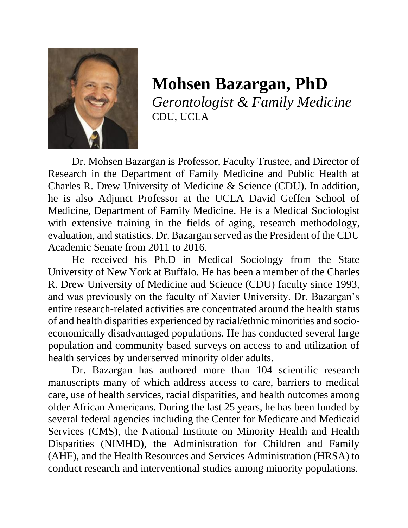

#### **Mohsen Bazargan, PhD** *Gerontologist & Family Medicine* CDU, UCLA

Dr. Mohsen Bazargan is Professor, Faculty Trustee, and Director of Research in the Department of Family Medicine and Public Health at Charles R. Drew University of Medicine & Science (CDU). In addition, he is also Adjunct Professor at the UCLA David Geffen School of Medicine, Department of Family Medicine. He is a Medical Sociologist with extensive training in the fields of aging, research methodology, evaluation, and statistics. Dr. Bazargan served as the President of the CDU Academic Senate from 2011 to 2016.

He received his Ph.D in Medical Sociology from the State University of New York at Buffalo. He has been a member of the Charles R. Drew University of Medicine and Science (CDU) faculty since 1993, and was previously on the faculty of Xavier University. Dr. Bazargan's entire research-related activities are concentrated around the health status of and health disparities experienced by racial/ethnic minorities and socioeconomically disadvantaged populations. He has conducted several large population and community based surveys on access to and utilization of health services by underserved minority older adults.

Dr. Bazargan has authored more than 104 scientific research manuscripts many of which address access to care, barriers to medical care, use of health services, racial disparities, and health outcomes among older African Americans. During the last 25 years, he has been funded by several federal agencies including the Center for Medicare and Medicaid Services (CMS), the National Institute on Minority Health and Health Disparities (NIMHD), the Administration for Children and Family (AHF), and the Health Resources and Services Administration (HRSA) to conduct research and interventional studies among minority populations.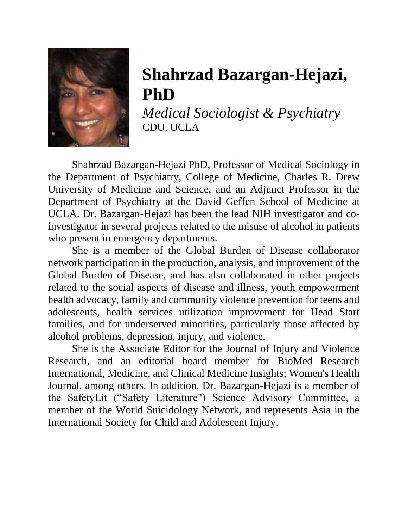

#### **Shahrzad Bazargan-Hejazi, PhD**

*Medical Sociologist & Psychiatry* CDU, UCLA

Shahrzad Bazargan-Hejazi PhD, Professor of Medical Sociology in the Department of Psychiatry, College of Medicine, Charles R. Drew University of Medicine and Science, and an Adjunct Professor in the Department of Psychiatry at the David Geffen School of Medicine at UCLA. Dr. Bazargan-Hejazi has been the lead NIH investigator and coinvestigator in several projects related to the misuse of alcohol in patients who present in emergency departments.

She is a member of the Global Burden of Disease collaborator network participation in the production, analysis, and improvement of the Global Burden of Disease, and has also collaborated in other projects related to the social aspects of disease and illness, youth empowerment health advocacy, family and community violence prevention for teens and adolescents, health services utilization improvement for Head Start families, and for underserved minorities, particularly those affected by alcohol problems, depression, injury, and violence.

She is the Associate Editor for the Journal of Injury and Violence Research, and an editorial board member for BioMed Research International, Medicine, and Clinical Medicine Insights; Women's Health Journal, among others. In addition, Dr. Bazargan-Hejazi is a member of the SafetyLit ("Safety Literature") Science Advisory Committee, a member of the World Suicidology Network, and represents Asia in the International Society for Child and Adolescent Injury.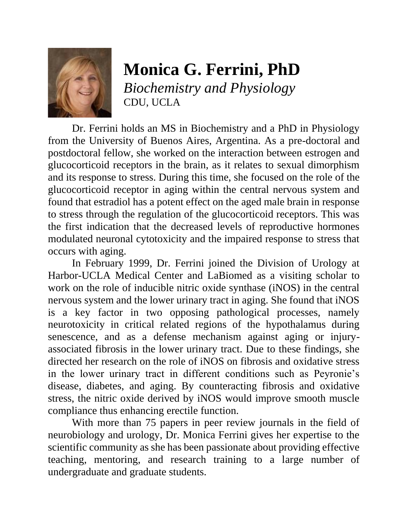

**Monica G. Ferrini, PhD** *Biochemistry and Physiology* CDU, UCLA

Dr. Ferrini holds an MS in Biochemistry and a PhD in Physiology from the University of Buenos Aires, Argentina. As a pre-doctoral and postdoctoral fellow, she worked on the interaction between estrogen and glucocorticoid receptors in the brain, as it relates to sexual dimorphism and its response to stress. During this time, she focused on the role of the glucocorticoid receptor in aging within the central nervous system and found that estradiol has a potent effect on the aged male brain in response to stress through the regulation of the glucocorticoid receptors. This was the first indication that the decreased levels of reproductive hormones modulated neuronal cytotoxicity and the impaired response to stress that occurs with aging.

In February 1999, Dr. Ferrini joined the Division of Urology at Harbor-UCLA Medical Center and LaBiomed as a visiting scholar to work on the role of inducible nitric oxide synthase (iNOS) in the central nervous system and the lower urinary tract in aging. She found that iNOS is a key factor in two opposing pathological processes, namely neurotoxicity in critical related regions of the hypothalamus during senescence, and as a defense mechanism against aging or injuryassociated fibrosis in the lower urinary tract. Due to these findings, she directed her research on the role of iNOS on fibrosis and oxidative stress in the lower urinary tract in different conditions such as Peyronie's disease, diabetes, and aging. By counteracting fibrosis and oxidative stress, the nitric oxide derived by iNOS would improve smooth muscle compliance thus enhancing erectile function.

With more than 75 papers in peer review journals in the field of neurobiology and urology, Dr. Monica Ferrini gives her expertise to the scientific community as she has been passionate about providing effective teaching, mentoring, and research training to a large number of undergraduate and graduate students.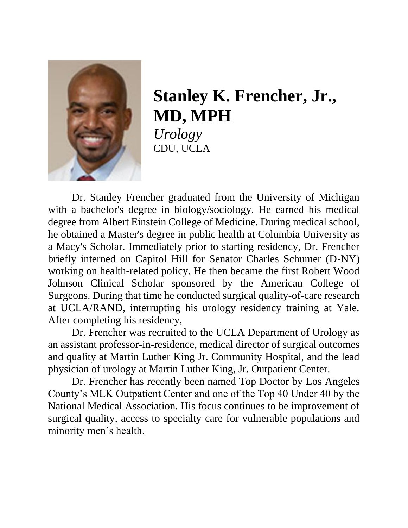

## **Stanley K. Frencher, Jr., MD, MPH**

*Urology* CDU, UCLA

Dr. Stanley Frencher graduated from the University of Michigan with a bachelor's degree in biology/sociology. He earned his medical degree from Albert Einstein College of Medicine. During medical school, he obtained a Master's degree in public health at Columbia University as a Macy's Scholar. Immediately prior to starting residency, Dr. Frencher briefly interned on Capitol Hill for Senator Charles Schumer (D-NY) working on health-related policy. He then became the first Robert Wood Johnson Clinical Scholar sponsored by the American College of Surgeons. During that time he conducted surgical quality-of-care research at UCLA/RAND, interrupting his urology residency training at Yale. After completing his residency,

Dr. Frencher was recruited to the UCLA Department of Urology as an assistant professor-in-residence, medical director of surgical outcomes and quality at Martin Luther King Jr. Community Hospital, and the lead physician of urology at Martin Luther King, Jr. Outpatient Center.

Dr. Frencher has recently been named Top Doctor by Los Angeles County's MLK Outpatient Center and one of the Top 40 Under 40 by the National Medical Association. His focus continues to be improvement of surgical quality, access to specialty care for vulnerable populations and minority men's health.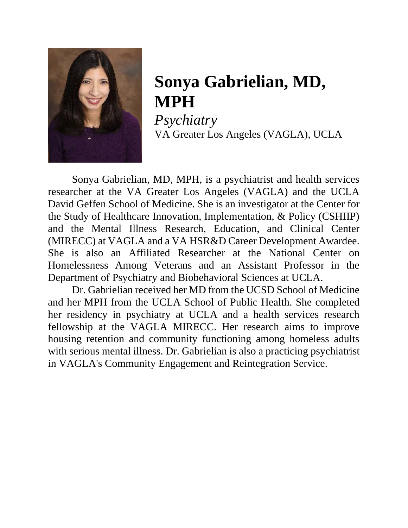

#### **Sonya Gabrielian, MD, MPH**

*Psychiatry*

VA Greater Los Angeles (VAGLA), UCLA

Sonya Gabrielian, MD, MPH, is a psychiatrist and health services researcher at the VA Greater Los Angeles (VAGLA) and the UCLA David Geffen School of Medicine. She is an investigator at the Center for the Study of Healthcare Innovation, Implementation, & Policy (CSHIIP) and the Mental Illness Research, Education, and Clinical Center (MIRECC) at VAGLA and a VA HSR&D Career Development Awardee. She is also an Affiliated Researcher at the National Center on Homelessness Among Veterans and an Assistant Professor in the Department of Psychiatry and Biobehavioral Sciences at UCLA.

Dr. Gabrielian received her MD from the UCSD School of Medicine and her MPH from the UCLA School of Public Health. She completed her residency in psychiatry at UCLA and a health services research fellowship at the VAGLA MIRECC. Her research aims to improve housing retention and community functioning among homeless adults with serious mental illness. Dr. Gabrielian is also a practicing psychiatrist in VAGLA's Community Engagement and Reintegration Service.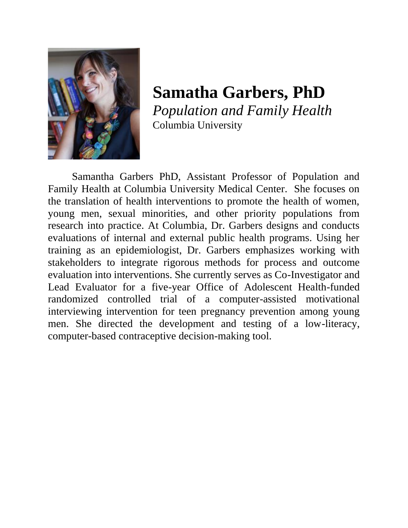

**Samatha Garbers, PhD** *Population and Family Health* Columbia University

Samantha Garbers PhD, Assistant Professor of Population and Family Health at Columbia University Medical Center. She focuses on the translation of health interventions to promote the health of women, young men, sexual minorities, and other priority populations from research into practice. At Columbia, Dr. Garbers designs and conducts evaluations of internal and external public health programs. Using her training as an epidemiologist, Dr. Garbers emphasizes working with stakeholders to integrate rigorous methods for process and outcome evaluation into interventions. She currently serves as Co-Investigator and Lead Evaluator for a five-year Office of Adolescent Health-funded randomized controlled trial of a computer-assisted motivational interviewing intervention for teen pregnancy prevention among young men. She directed the development and testing of a low-literacy, computer-based contraceptive decision-making tool.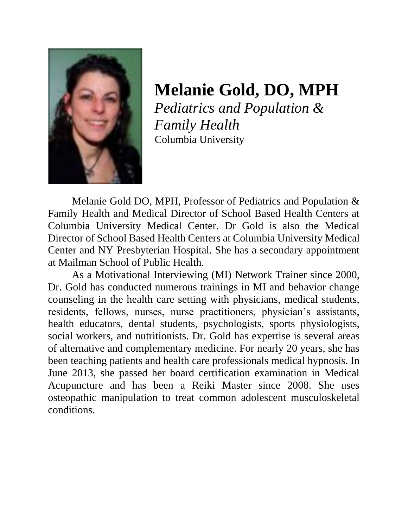

### **Melanie Gold, DO, MPH**

*Pediatrics and Population & Family Health* Columbia University

Melanie Gold DO, MPH, Professor of Pediatrics and Population & Family Health and Medical Director of School Based Health Centers at Columbia University Medical Center. Dr Gold is also the Medical Director of School Based Health Centers at Columbia University Medical Center and NY Presbyterian Hospital. She has a secondary appointment at Mailman School of Public Health.

As a Motivational Interviewing (MI) Network Trainer since 2000, Dr. Gold has conducted numerous trainings in MI and behavior change counseling in the health care setting with physicians, medical students, residents, fellows, nurses, nurse practitioners, physician's assistants, health educators, dental students, psychologists, sports physiologists, social workers, and nutritionists. Dr. Gold has expertise is several areas of alternative and complementary medicine. For nearly 20 years, she has been teaching patients and health care professionals medical hypnosis. In June 2013, she passed her board certification examination in Medical Acupuncture and has been a Reiki Master since 2008. She uses osteopathic manipulation to treat common adolescent musculoskeletal conditions.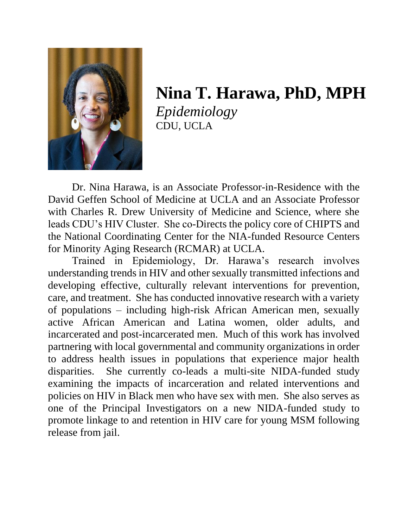

#### **Nina T. Harawa, PhD, MPH** *Epidemiology* CDU, UCLA

Dr. Nina Harawa, is an Associate Professor-in-Residence with the David Geffen School of Medicine at UCLA and an Associate Professor with Charles R. Drew University of Medicine and Science, where she leads CDU's HIV Cluster. She co-Directs the policy core of CHIPTS and the National Coordinating Center for the NIA-funded Resource Centers for Minority Aging Research (RCMAR) at UCLA.

Trained in Epidemiology, Dr. Harawa's research involves understanding trends in HIV and other sexually transmitted infections and developing effective, culturally relevant interventions for prevention, care, and treatment. She has conducted innovative research with a variety of populations – including high-risk African American men, sexually active African American and Latina women, older adults, and incarcerated and post-incarcerated men. Much of this work has involved partnering with local governmental and community organizations in order to address health issues in populations that experience major health disparities. She currently co-leads a multi-site NIDA-funded study examining the impacts of incarceration and related interventions and policies on HIV in Black men who have sex with men. She also serves as one of the Principal Investigators on a new NIDA-funded study to promote linkage to and retention in HIV care for young MSM following release from jail.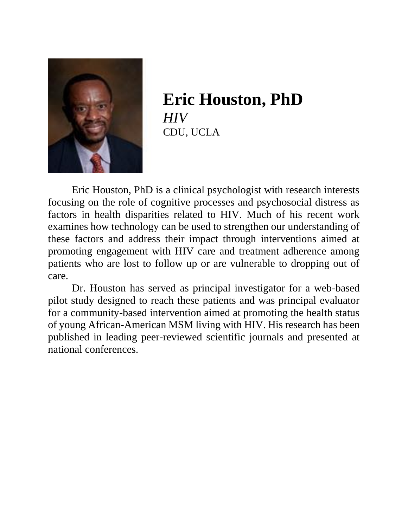

**Eric Houston, PhD** *HIV* CDU, UCLA

Eric Houston, PhD is a clinical psychologist with research interests focusing on the role of cognitive processes and psychosocial distress as factors in health disparities related to HIV. Much of his recent work examines how technology can be used to strengthen our understanding of these factors and address their impact through interventions aimed at promoting engagement with HIV care and treatment adherence among patients who are lost to follow up or are vulnerable to dropping out of care.

Dr. Houston has served as principal investigator for a web-based pilot study designed to reach these patients and was principal evaluator for a community-based intervention aimed at promoting the health status of young African-American MSM living with HIV. His research has been published in leading peer-reviewed scientific journals and presented at national conferences.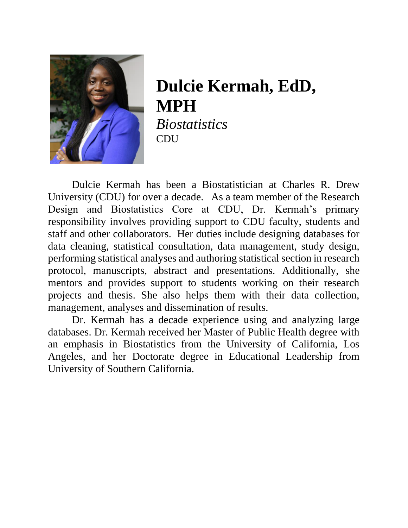

#### **Dulcie Kermah, EdD, MPH** *Biostatistics* CDU

Dulcie Kermah has been a Biostatistician at Charles R. Drew University (CDU) for over a decade. As a team member of the Research Design and Biostatistics Core at CDU, Dr. Kermah's primary responsibility involves providing support to CDU faculty, students and staff and other collaborators. Her duties include designing databases for data cleaning, statistical consultation, data management, study design, performing statistical analyses and authoring statistical section in research protocol, manuscripts, abstract and presentations. Additionally, she mentors and provides support to students working on their research projects and thesis. She also helps them with their data collection, management, analyses and dissemination of results.

Dr. Kermah has a decade experience using and analyzing large databases. Dr. Kermah received her Master of Public Health degree with an emphasis in Biostatistics from the University of California, Los Angeles, and her Doctorate degree in Educational Leadership from University of Southern California.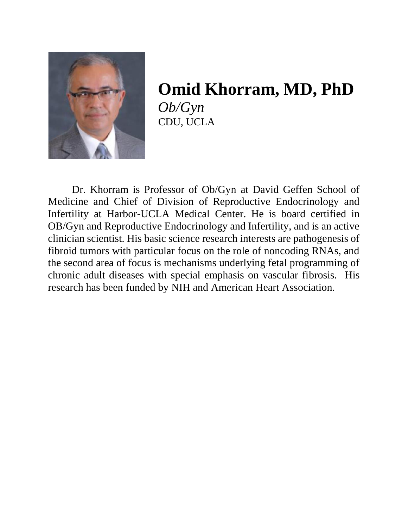

#### **Omid Khorram, MD, PhD** *Ob/Gyn*  CDU, UCLA

Dr. Khorram is Professor of Ob/Gyn at David Geffen School of Medicine and Chief of Division of Reproductive Endocrinology and Infertility at Harbor-UCLA Medical Center. He is board certified in OB/Gyn and Reproductive Endocrinology and Infertility, and is an active clinician scientist. His basic science research interests are pathogenesis of fibroid tumors with particular focus on the role of noncoding RNAs, and the second area of focus is mechanisms underlying fetal programming of chronic adult diseases with special emphasis on vascular fibrosis. His research has been funded by NIH and American Heart Association.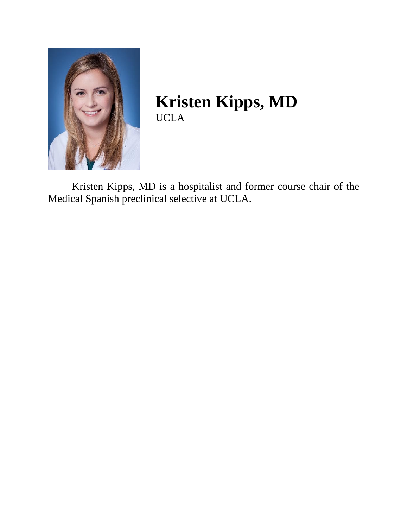

**Kristen Kipps, MD** UCLA

Kristen Kipps, MD is a hospitalist and former course chair of the Medical Spanish preclinical selective at UCLA.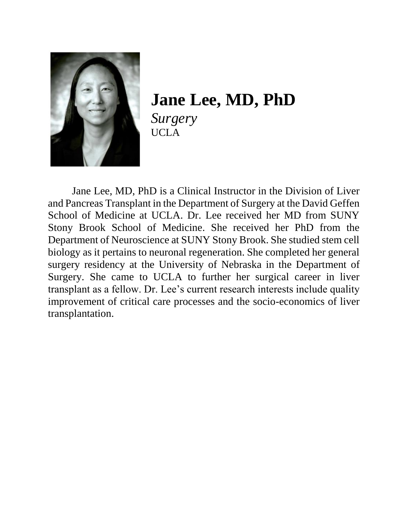

**Jane Lee, MD, PhD** *Surgery* UCLA

Jane Lee, MD, PhD is a Clinical Instructor in the Division of Liver and Pancreas Transplant in the Department of Surgery at the David Geffen School of Medicine at UCLA. Dr. Lee received her MD from SUNY Stony Brook School of Medicine. She received her PhD from the Department of Neuroscience at SUNY Stony Brook. She studied stem cell biology as it pertains to neuronal regeneration. She completed her general surgery residency at the University of Nebraska in the Department of Surgery. She came to UCLA to further her surgical career in liver transplant as a fellow. Dr. Lee's current research interests include quality improvement of critical care processes and the socio-economics of liver transplantation.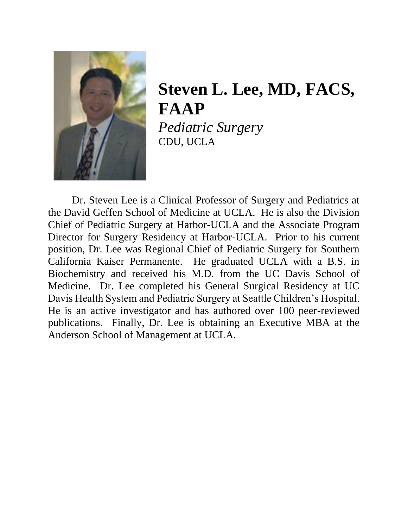

#### **Steven L. Lee, MD, FACS, FAAP** *Pediatric Surgery* CDU, UCLA

Dr. Steven Lee is a Clinical Professor of Surgery and Pediatrics at the David Geffen School of Medicine at UCLA. He is also the Division Chief of Pediatric Surgery at Harbor-UCLA and the Associate Program Director for Surgery Residency at Harbor-UCLA. Prior to his current position, Dr. Lee was Regional Chief of Pediatric Surgery for Southern California Kaiser Permanente. He graduated UCLA with a B.S. in Biochemistry and received his M.D. from the UC Davis School of Medicine. Dr. Lee completed his General Surgical Residency at UC Davis Health System and Pediatric Surgery at Seattle Children's Hospital. He is an active investigator and has authored over 100 peer-reviewed publications. Finally, Dr. Lee is obtaining an Executive MBA at the Anderson School of Management at UCLA.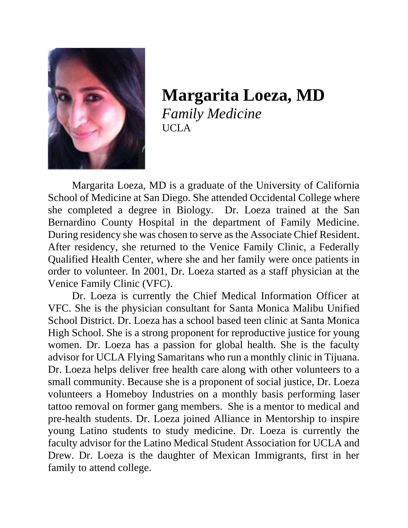

**Margarita Loeza, MD** *Family Medicine* UCLA

Margarita Loeza, MD is a graduate of the University of California School of Medicine at San Diego. She attended Occidental College where she completed a degree in Biology. Dr. Loeza trained at the San Bernardino County Hospital in the department of Family Medicine. During residency she was chosen to serve as the Associate Chief Resident. After residency, she returned to the Venice Family Clinic, a Federally Qualified Health Center, where she and her family were once patients in order to volunteer. In 2001, Dr. Loeza started as a staff physician at the Venice Family Clinic (VFC).

Dr. Loeza is currently the Chief Medical Information Officer at VFC. She is the physician consultant for Santa Monica Malibu Unified School District. Dr. Loeza has a school based teen clinic at Santa Monica High School. She is a strong proponent for reproductive justice for young women. Dr. Loeza has a passion for global health. She is the faculty advisor for UCLA Flying Samaritans who run a monthly clinic in Tijuana. Dr. Loeza helps deliver free health care along with other volunteers to a small community. Because she is a proponent of social justice, Dr. Loeza volunteers a Homeboy Industries on a monthly basis performing laser tattoo removal on former gang members. She is a mentor to medical and pre-health students. Dr. Loeza joined Alliance in Mentorship to inspire young Latino students to study medicine. Dr. Loeza is currently the faculty advisor for the Latino Medical Student Association for UCLA and Drew. Dr. Loeza is the daughter of Mexican Immigrants, first in her family to attend college.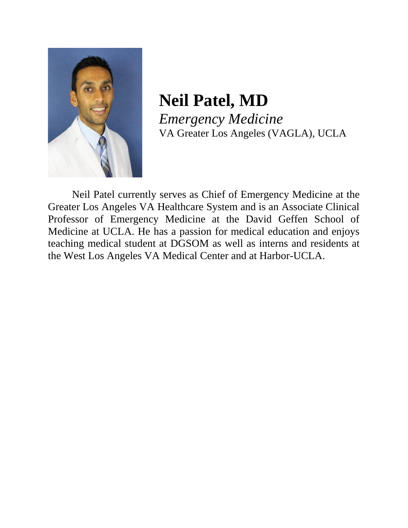

**Neil Patel, MD** *Emergency Medicine* VA Greater Los Angeles (VAGLA), UCLA

Neil Patel currently serves as Chief of Emergency Medicine at the Greater Los Angeles VA Healthcare System and is an Associate Clinical Professor of Emergency Medicine at the David Geffen School of Medicine at UCLA. He has a passion for medical education and enjoys teaching medical student at DGSOM as well as interns and residents at the West Los Angeles VA Medical Center and at Harbor-UCLA.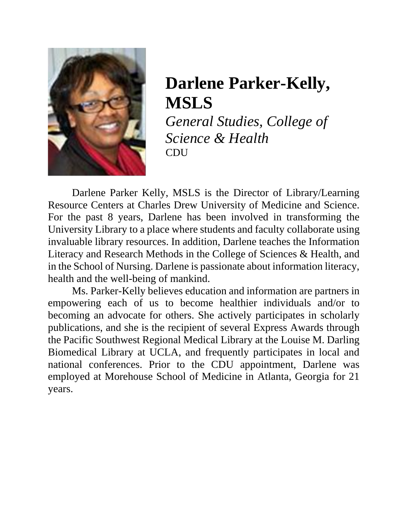

### **Darlene Parker-Kelly, MSLS**

*General Studies, College of Science & Health* **CDU** 

Darlene Parker Kelly, MSLS is the Director of Library/Learning Resource Centers at Charles Drew University of Medicine and Science. For the past 8 years, Darlene has been involved in transforming the University Library to a place where students and faculty collaborate using invaluable library resources. In addition, Darlene teaches the Information Literacy and Research Methods in the College of Sciences & Health, and in the School of Nursing. Darlene is passionate about information literacy, health and the well-being of mankind.

Ms. Parker-Kelly believes education and information are partners in empowering each of us to become healthier individuals and/or to becoming an advocate for others. She actively participates in scholarly publications, and she is the recipient of several Express Awards through the Pacific Southwest Regional Medical Library at the Louise M. Darling Biomedical Library at UCLA, and frequently participates in local and national conferences. Prior to the CDU appointment, Darlene was employed at Morehouse School of Medicine in Atlanta, Georgia for 21 years.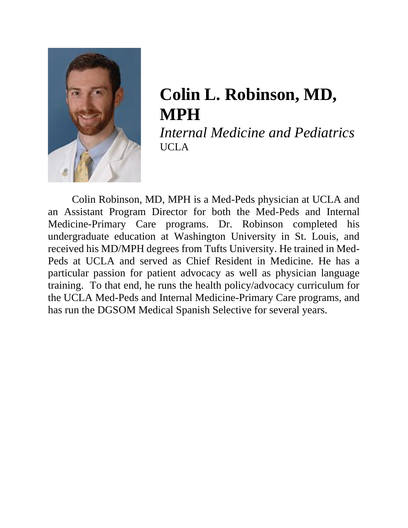

## **Colin L. Robinson, MD, MPH**

*Internal Medicine and Pediatrics* UCLA

Colin Robinson, MD, MPH is a Med-Peds physician at UCLA and an Assistant Program Director for both the Med-Peds and Internal Medicine-Primary Care programs. Dr. Robinson completed his undergraduate education at Washington University in St. Louis, and received his MD/MPH degrees from Tufts University. He trained in Med-Peds at UCLA and served as Chief Resident in Medicine. He has a particular passion for patient advocacy as well as physician language training. To that end, he runs the health policy/advocacy curriculum for the UCLA Med-Peds and Internal Medicine-Primary Care programs, and has run the DGSOM Medical Spanish Selective for several years.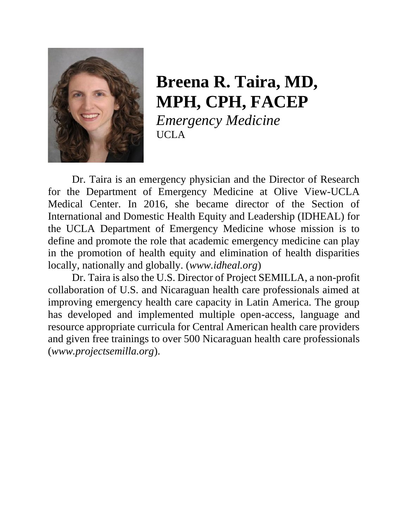

#### **Breena R. Taira, MD, MPH, CPH, FACEP**

*Emergency Medicine* UCLA

Dr. Taira is an emergency physician and the Director of Research for the Department of Emergency Medicine at Olive View-UCLA Medical Center. In 2016, she became director of the Section of International and Domestic Health Equity and Leadership (IDHEAL) for the UCLA Department of Emergency Medicine whose mission is to define and promote the role that academic emergency medicine can play in the promotion of health equity and elimination of health disparities locally, nationally and globally. (*[www.idheal.org](http://www.idheal.org/)*)

Dr. Taira is also the U.S. Director of Project SEMILLA, a non-profit collaboration of U.S. and Nicaraguan health care professionals aimed at improving emergency health care capacity in Latin America. The group has developed and implemented multiple open-access, language and resource appropriate curricula for Central American health care providers and given free trainings to over 500 Nicaraguan health care professionals (*www.projectsemilla.org*).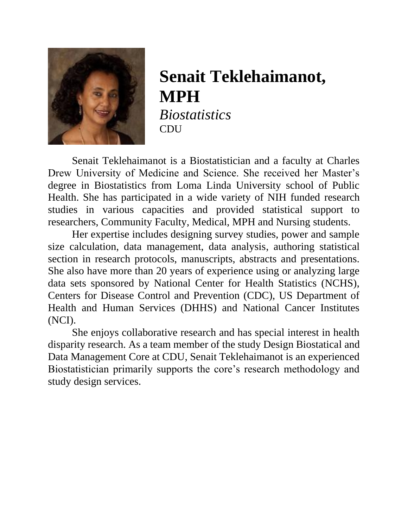

#### **Senait Teklehaimanot, MPH** *Biostatistics* **CDU**

Senait Teklehaimanot is a Biostatistician and a faculty at Charles Drew University of Medicine and Science. She received her Master's degree in Biostatistics from Loma Linda University school of Public Health. She has participated in a wide variety of NIH funded research studies in various capacities and provided statistical support to researchers, Community Faculty, Medical, MPH and Nursing students.

Her expertise includes designing survey studies, power and sample size calculation, data management, data analysis, authoring statistical section in research protocols, manuscripts, abstracts and presentations. She also have more than 20 years of experience using or analyzing large data sets sponsored by National Center for Health Statistics (NCHS), Centers for Disease Control and Prevention (CDC), US Department of Health and Human Services (DHHS) and National Cancer Institutes (NCI).

She enjoys collaborative research and has special interest in health disparity research. As a team member of the study Design Biostatical and Data Management Core at CDU, Senait Teklehaimanot is an experienced Biostatistician primarily supports the core's research methodology and study design services.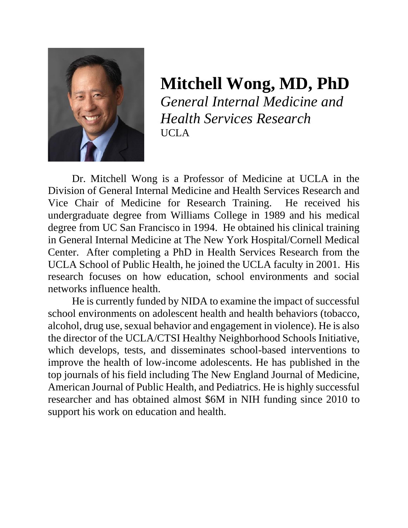

#### **Mitchell Wong, MD, PhD** *General Internal Medicine and Health Services Research* UCLA

Dr. Mitchell Wong is a Professor of Medicine at UCLA in the Division of General Internal Medicine and Health Services Research and Vice Chair of Medicine for Research Training. He received his undergraduate degree from Williams College in 1989 and his medical degree from UC San Francisco in 1994. He obtained his clinical training in General Internal Medicine at The New York Hospital/Cornell Medical Center. After completing a PhD in Health Services Research from the UCLA School of Public Health, he joined the UCLA faculty in 2001. His research focuses on how education, school environments and social networks influence health.

He is currently funded by NIDA to examine the impact of successful school environments on adolescent health and health behaviors (tobacco, alcohol, drug use, sexual behavior and engagement in violence). He is also the director of the UCLA/CTSI Healthy Neighborhood Schools Initiative, which develops, tests, and disseminates school-based interventions to improve the health of low-income adolescents. He has published in the top journals of his field including The New England Journal of Medicine, American Journal of Public Health, and Pediatrics. He is highly successful researcher and has obtained almost \$6M in NIH funding since 2010 to support his work on education and health.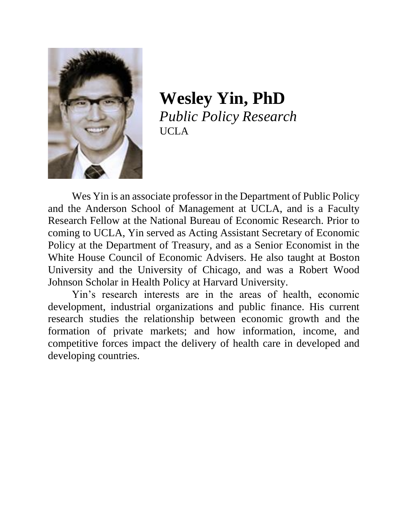

**Wesley Yin, PhD** *Public Policy Research* UCLA

Wes Yin is an associate professor in the Department of Public Policy and the Anderson School of Management at UCLA, and is a Faculty Research Fellow at the National Bureau of Economic Research. Prior to coming to UCLA, Yin served as Acting Assistant Secretary of Economic Policy at the Department of Treasury, and as a Senior Economist in the White House Council of Economic Advisers. He also taught at Boston University and the University of Chicago, and was a Robert Wood Johnson Scholar in Health Policy at Harvard University.

Yin's research interests are in the areas of health, economic development, industrial organizations and public finance. His current research studies the relationship between economic growth and the formation of private markets; and how information, income, and competitive forces impact the delivery of health care in developed and developing countries.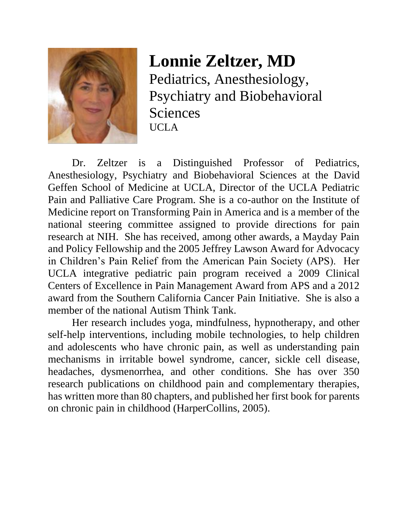

**Lonnie Zeltzer, MD** Pediatrics, Anesthesiology, Psychiatry and Biobehavioral Sciences UCLA

Dr. Zeltzer is a Distinguished Professor of Pediatrics, Anesthesiology, Psychiatry and Biobehavioral Sciences at the David Geffen School of Medicine at UCLA, Director of the UCLA Pediatric Pain and Palliative Care Program. She is a co-author on the Institute of Medicine report on Transforming Pain in America and is a member of the national steering committee assigned to provide directions for pain research at NIH. She has received, among other awards, a Mayday Pain and Policy Fellowship and the 2005 Jeffrey Lawson Award for Advocacy in Children's Pain Relief from the American Pain Society (APS). Her UCLA integrative pediatric pain program received a 2009 Clinical Centers of Excellence in Pain Management Award from APS and a 2012 award from the Southern California Cancer Pain Initiative. She is also a member of the national Autism Think Tank.

Her research includes yoga, mindfulness, hypnotherapy, and other self-help interventions, including mobile technologies, to help children and adolescents who have chronic pain, as well as understanding pain mechanisms in irritable bowel syndrome, cancer, sickle cell disease, headaches, dysmenorrhea, and other conditions. She has over 350 research publications on childhood pain and complementary therapies, has written more than 80 chapters, and published her first book for parents on chronic pain in childhood (HarperCollins, 2005).